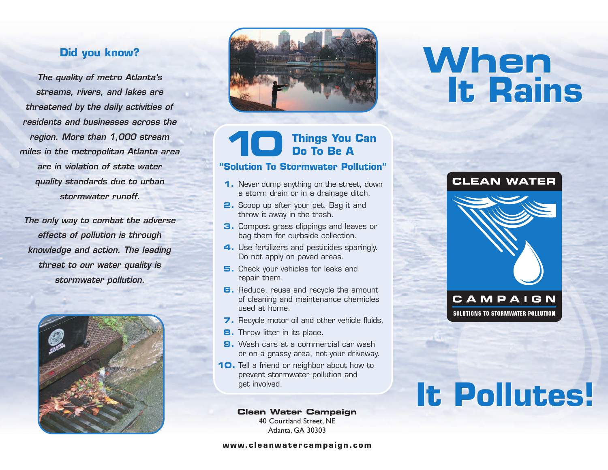## **Did you know?**

*The quality of metro Atlanta's streams, rivers, and lakes are threatened by the daily activities of residents and businesses across the region. More than 1,000 stream miles in the metropolitan Atlanta area are in violation of state water quality standards due to urban stormwater runoff.* 

*The only way to combat the adverse effects of pollution is through knowledge and action. The leading threat to our water quality is stormwater pollution.* 





## **10 Things You Can Do To Be A**

#### **"Solution To Stormwater Pollution"**

- **1.** Never dump anything on the street, down a storm drain or in a drainage ditch.
- **2.** Scoop up after your pet. Bag it and throw it away in the trash.
- **3.** Compost grass clippings and leaves or bag them for curbside collection.
- **4.** Use fertilizers and pesticides sparingly. Do not apply on paved areas.
- **5.** Check your vehicles for leaks and repair them.
- **6.** Reduce, reuse and recycle the amount of cleaning and maintenance chemicles used at home.
- **7.** Recycle motor oil and other vehicle fluids.
- **8.** Throw litter in its place.
- **9.** Wash cars at a commercial car wash or on a grassy area, not your driveway.
- **10.** Tell a friend or neighbor about how to prevent stormwater pollution and get involved.

**Clean Water Campaign** 40 Courtland Street, NE Atlanta, GA 30303

**www.cleanwatercampaign.com**

## **When It Rains When It Rains**



# **It Pollutes! It Pollutes!**